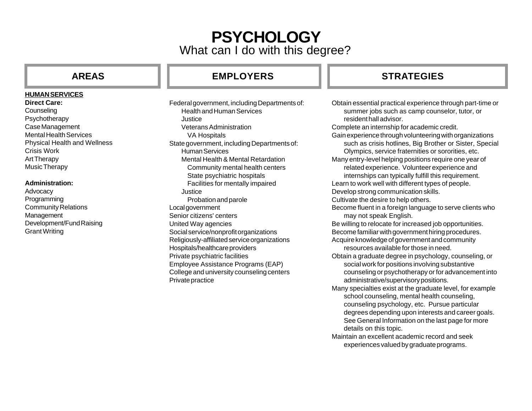# **PSYCHOLOGY** What can I do with this degree?

### **HUMAN SERVICES**

## **Direct Care:**

**Counseling** Psychotherapy Case Management Mental Health Services Physical Health and Wellness Crisis Work Art Therapy Music Therapy

### **Administration:**

Advocacy Programming Community Relations Management Development/Fund Raising Grant Writing

## **AREAS EMPLOYERS STRATEGIES**

Federal government, including Departments of: Health and Human Services Justice Veterans Administration VA Hospitals State government, including Departments of: Human Services Mental Health & Mental Retardation Community mental health centers State psychiatric hospitals Facilities for mentally impaired Justice Probation and parole Local government Senior citizens' centers United Way agencies Social service/nonprofit organizations Religiously-affiliated service organizations Hospitals/healthcare providers Private psychiatric facilities Employee Assistance Programs (EAP) College and university counseling centers Private practice

Obtain essential practical experience through part-time or summer jobs such as camp counselor, tutor, or resident hall advisor. Complete an internship for academic credit. Gain experience through volunteering with organizations such as crisis hotlines, Big Brother or Sister, Special Olympics, service fraternities or sororities, etc. Many entry-level helping positions require one year of related experience. Volunteer experience and internships can typically fulfill this requirement. Learn to work well with different types of people. Develop strong communication skills. Cultivate the desire to help others. Become fluent in a foreign language to serve clients who may not speak English. Be willing to relocate for increased job opportunities. Become familiar with government hiring procedures. Acquire knowledge of government and community resources available for those in need. Obtain a graduate degree in psychology, counseling, or social work for positions involving substantive counseling or psychotherapy or for advancement into administrative/supervisory positions. Many specialties exist at the graduate level, for example school counseling, mental health counseling, counseling psychology, etc. Pursue particular degrees depending upon interests and career goals. See General Information on the last page for more details on this topic. Maintain an excellent academic record and seek experiences valued by graduate programs.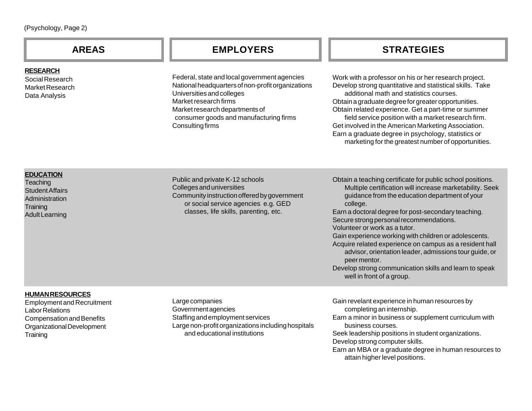| <b>AREAS</b>                                                                                                                                                       | <b>EMPLOYERS</b>                                                                                                                                                                                                                                               | <b>STRATEGIES</b>                                                                                                                                                                                                                                                                                                                                                                                                                                                                                                                                                                                            |
|--------------------------------------------------------------------------------------------------------------------------------------------------------------------|----------------------------------------------------------------------------------------------------------------------------------------------------------------------------------------------------------------------------------------------------------------|--------------------------------------------------------------------------------------------------------------------------------------------------------------------------------------------------------------------------------------------------------------------------------------------------------------------------------------------------------------------------------------------------------------------------------------------------------------------------------------------------------------------------------------------------------------------------------------------------------------|
| <b>RESEARCH</b><br>Social Research<br>Market Research<br>Data Analysis                                                                                             | Federal, state and local government agencies<br>National headquarters of non-profit organizations<br>Universities and colleges<br>Market research firms<br>Market research departments of<br>consumer goods and manufacturing firms<br><b>Consulting firms</b> | Work with a professor on his or her research project.<br>Develop strong quantitative and statistical skills. Take<br>additional math and statistics courses.<br>Obtain a graduate degree for greater opportunities.<br>Obtain related experience. Get a part-time or summer<br>field service position with a market research firm.<br>Get involved in the American Marketing Association.<br>Earn a graduate degree in psychology, statistics or<br>marketing for the greatest number of opportunities.                                                                                                      |
| <b>EDUCATION</b><br>Teaching<br><b>Student Affairs</b><br>Administration<br>Training<br><b>Adult Learning</b>                                                      | Public and private K-12 schools<br>Colleges and universities<br>Community instruction offered by government<br>or social service agencies e.g. GED<br>classes, life skills, parenting, etc.                                                                    | Obtain a teaching certificate for public school positions.<br>Multiple certification will increase marketability. Seek<br>guidance from the education department of your<br>college.<br>Earn a doctoral degree for post-secondary teaching.<br>Secure strong personal recommendations.<br>Volunteer or work as a tutor.<br>Gain experience working with children or adolescents.<br>Acquire related experience on campus as a resident hall<br>advisor, orientation leader, admissions tour guide, or<br>peer mentor.<br>Develop strong communication skills and learn to speak<br>well in front of a group. |
| <b>HUMANRESOURCES</b><br><b>Employment and Recruitment</b><br><b>Labor Relations</b><br><b>Compensation and Benefits</b><br>Organizational Development<br>Training | Large companies<br>Governmentagencies<br>Staffing and employment services<br>Large non-profit organizations including hospitals<br>and educational institutions                                                                                                | Gain revelant experience in human resources by<br>completing an internship.<br>Earn a minor in business or supplement curriculum with<br>business courses.<br>Seek leadership positions in student organizations.<br>Develop strong computer skills.<br>Earn an MBA or a graduate degree in human resources to                                                                                                                                                                                                                                                                                               |

attain higher level positions.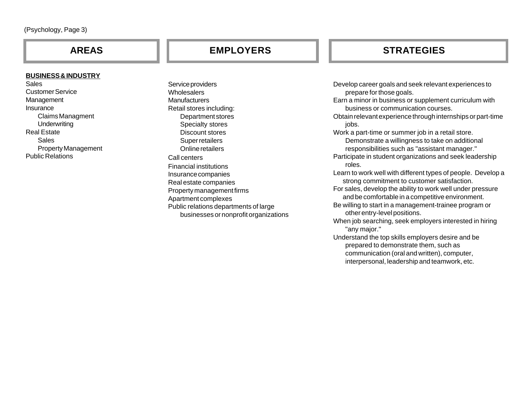### **BUSINESS & INDUSTRY**

Sales Customer Service Management Insurance Claims Managment **Underwriting** Real Estate Sales Property Management Public Relations

## **AREAS EMPLOYERS STRATEGIES**

Service providers **Wholesalers Manufacturers** Retail stores including: Department stores Specialty stores Discount stores Super retailers Online retailers Call centers Financial institutions Insurance companies Real estate companies Property management firms Apartment complexes Public relations departments of large businesses or nonprofit organizations

Develop career goals and seek relevant experiences to prepare for those goals. Earn a minor in business or supplement curriculum with business or communication courses. Obtain relevant experience through internships or part-time jobs. Work a part-time or summer job in a retail store. Demonstrate a willingness to take on additional responsibilities such as "assistant manager." Participate in student organizations and seek leadership roles. Learn to work well with different types of people. Develop a strong commitment to customer satisfaction. For sales, develop the ability to work well under pressure and be comfortable in a competitive environment. Be willing to start in a management-trainee program or other entry-level positions. When job searching, seek employers interested in hiring "any major." Understand the top skills employers desire and be prepared to demonstrate them, such as communication (oral and written), computer,

interpersonal, leadership and teamwork, etc.